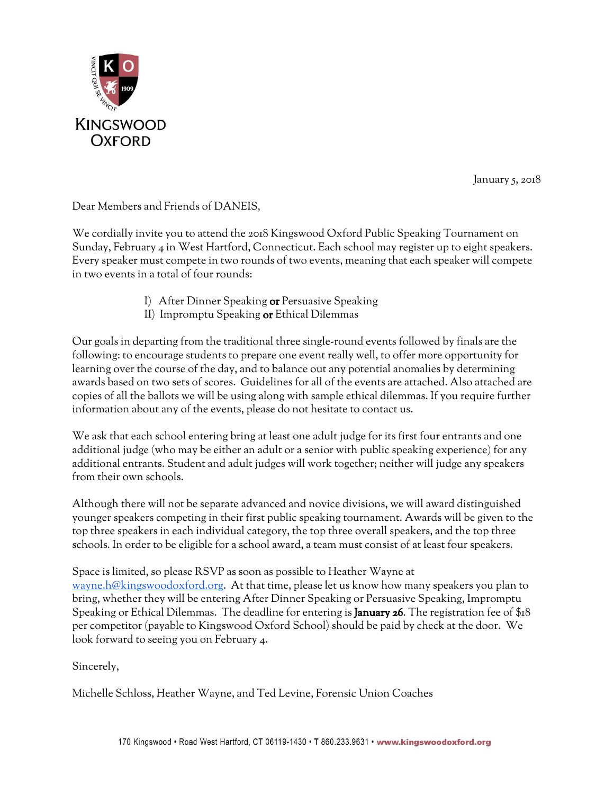

January 5, 2018

Dear Members and Friends of DANEIS,

We cordially invite you to attend the 2018 Kingswood Oxford Public Speaking Tournament on Sunday, February 4 in West Hartford, Connecticut. Each school may register up to eight speakers. Every speaker must compete in two rounds of two events, meaning that each speaker will compete in two events in a total of four rounds:

- I) After Dinner Speaking or Persuasive Speaking
- II) Impromptu Speaking or Ethical Dilemmas

Our goals in departing from the traditional three single-round events followed by finals are the following: to encourage students to prepare one event really well, to offer more opportunity for learning over the course of the day, and to balance out any potential anomalies by determining awards based on two sets of scores. Guidelines for all of the events are attached. Also attached are copies of all the ballots we will be using along with sample ethical dilemmas. If you require further information about any of the events, please do not hesitate to contact us.

We ask that each school entering bring at least one adult judge for its first four entrants and one additional judge (who may be either an adult or a senior with public speaking experience) for any additional entrants. Student and adult judges will work together; neither will judge any speakers from their own schools.

Although there will not be separate advanced and novice divisions, we will award distinguished younger speakers competing in their first public speaking tournament. Awards will be given to the top three speakers in each individual category, the top three overall speakers, and the top three schools. In order to be eligible for a school award, a team must consist of at least four speakers.

Space is limited, so please RSVP as soon as possible to Heather Wayne at [wayne.h@kingswoodoxford.org.](mailto:wayne.h@kingswoodoxford.org) At that time, please let us know how many speakers you plan to bring, whether they will be entering After Dinner Speaking or Persuasive Speaking, Impromptu Speaking or Ethical Dilemmas. The deadline for entering is **January 26**. The registration fee of \$18 per competitor (payable to Kingswood Oxford School) should be paid by check at the door. We look forward to seeing you on February 4.

Sincerely,

Michelle Schloss, Heather Wayne, and Ted Levine, Forensic Union Coaches